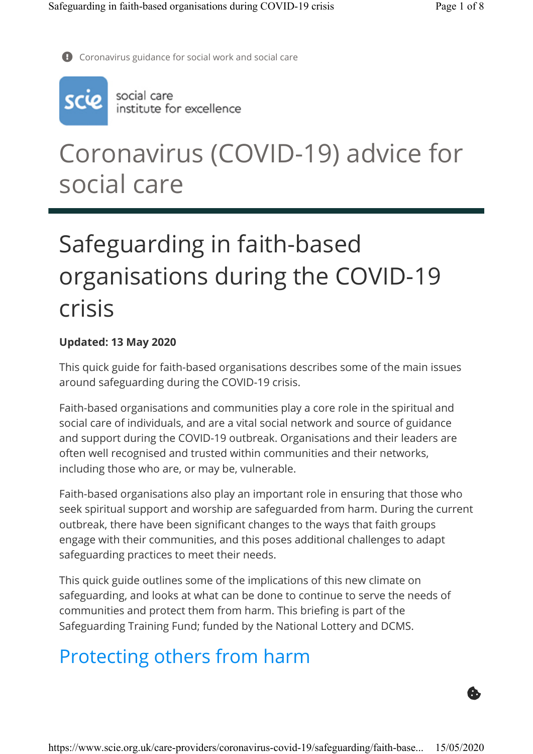G.

 $\bullet$  Coronavirus guidance for social work and social care



social care<br>institute for excellence

## Coronavirus (COVID-19) advice for social care

# Safeguarding in faith-based organisations during the COVID-19 crisis

#### Updated: 13 May 2020

This quick guide for faith-based organisations describes some of the main issues around safeguarding during the COVID-19 crisis.

Faith-based organisations and communities play a core role in the spiritual and social care of individuals, and are a vital social network and source of guidance and support during the COVID-19 outbreak. Organisations and their leaders are often well recognised and trusted within communities and their networks, including those who are, or may be, vulnerable.

Faith-based organisations also play an important role in ensuring that those who seek spiritual support and worship are safeguarded from harm. During the current outbreak, there have been significant changes to the ways that faith groups engage with their communities, and this poses additional challenges to adapt safeguarding practices to meet their needs.

This quick guide outlines some of the implications of this new climate on safeguarding, and looks at what can be done to continue to serve the needs of communities and protect them from harm. This briefing is part of the Safeguarding Training Fund; funded by the National Lottery and DCMS.

### Protecting others from harm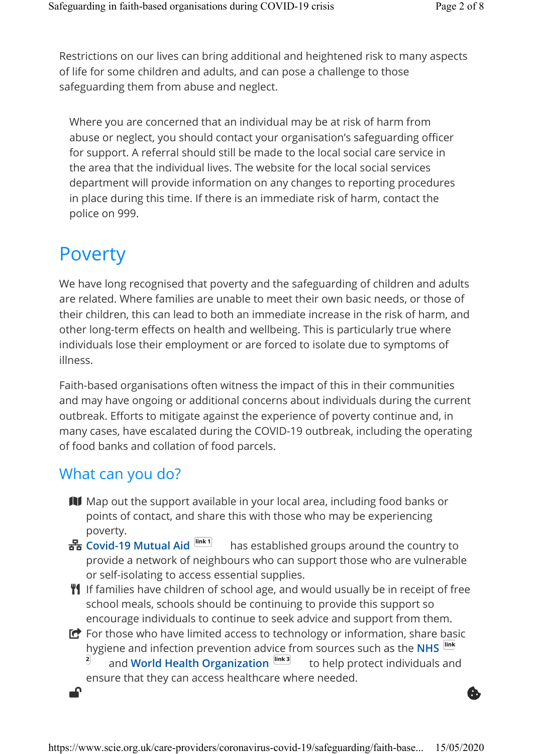Restrictions on our lives can bring additional and heightened risk to many aspects of life for some children and adults, and can pose a challenge to those safeguarding them from abuse and neglect.

Where you are concerned that an individual may be at risk of harm from abuse or neglect, you should contact your organisation's safeguarding officer for support. A referral should still be made to the local social care service in the area that the individual lives. The website for the local social services department will provide information on any changes to reporting procedures in place during this time. If there is an immediate risk of harm, contact the police on 999.

#### Poverty

We have long recognised that poverty and the safeguarding of children and adults are related. Where families are unable to meet their own basic needs, or those of their children, this can lead to both an immediate increase in the risk of harm, and other long-term effects on health and wellbeing. This is particularly true where individuals lose their employment or are forced to isolate due to symptoms of illness.

Faith-based organisations often witness the impact of this in their communities and may have ongoing or additional concerns about individuals during the current outbreak. Efforts to mitigate against the experience of poverty continue and, in many cases, have escalated during the COVID-19 outbreak, including the operating of food banks and collation of food parcels.

#### What can you do?

- **II** Map out the support available in your local area, including food banks or points of contact, and share this with those who may be experiencing poverty.
- has established groups around the country to provide a network of neighbours who can support those who are vulnerable or self-isolating to access essential supplies. 물 Covid-19 Mutual Aid [link1]
- $\mathbf{Y}$  If families have children of school age, and would usually be in receipt of free school meals, schools should be continuing to provide this support so encourage individuals to continue to seek advice and support from them.
- $\bullet$  For those who have limited access to technology or information, share basic hygiene and infection prevention advice from sources such as the NHS link 2 and World Health Organization **link 3** to help protect individuals and ensure that they can access healthcare where needed.

 $\bullet$  . The contract of the contract of the contract of the contract of the contract of the contract of the contract of the contract of the contract of the contract of the contract of the contract of the contract of the co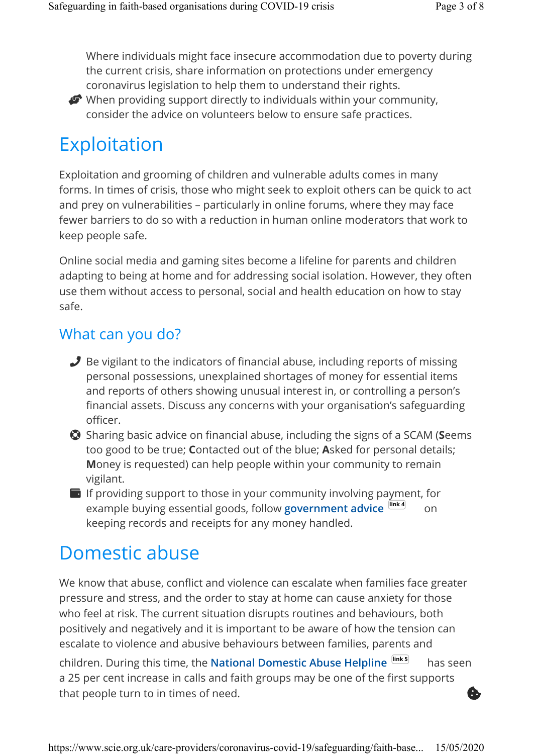Where individuals might face insecure accommodation due to poverty during the current crisis, share information on protections under emergency coronavirus legislation to help them to understand their rights.



When providing support directly to individuals within your community, consider the advice on volunteers below to ensure safe practices.

### Exploitation

Exploitation and grooming of children and vulnerable adults comes in many forms. In times of crisis, those who might seek to exploit others can be quick to act and prey on vulnerabilities – particularly in online forums, where they may face fewer barriers to do so with a reduction in human online moderators that work to keep people safe.

Online social media and gaming sites become a lifeline for parents and children adapting to being at home and for addressing social isolation. However, they often use them without access to personal, social and health education on how to stay safe.

#### What can you do?

- Be vigilant to the indicators of financial abuse, including reports of missing personal possessions, unexplained shortages of money for essential items and reports of others showing unusual interest in, or controlling a person's financial assets. Discuss any concerns with your organisation's safeguarding officer.
- $\bullet$  Sharing basic advice on financial abuse, including the signs of a SCAM (Seems too good to be true; Contacted out of the blue; Asked for personal details; Money is requested) can help people within your community to remain vigilant.
- $\blacksquare$  If providing support to those in your community involving payment, for example buying essential goods, follow government advice link4 on keeping records and receipts for any money handled.

### Domestic abuse

We know that abuse, conflict and violence can escalate when families face greater pressure and stress, and the order to stay at home can cause anxiety for those who feel at risk. The current situation disrupts routines and behaviours, both positively and negatively and it is important to be aware of how the tension can escalate to violence and abusive behaviours between families, parents and children. During this time, the National Domestic Abuse Helpline  $\frac{|\text{link 5}|}{|\text{link 5}|}$  has seen a 25 per cent increase in calls and faith groups may be one of the first supports that people turn to in times of need. \$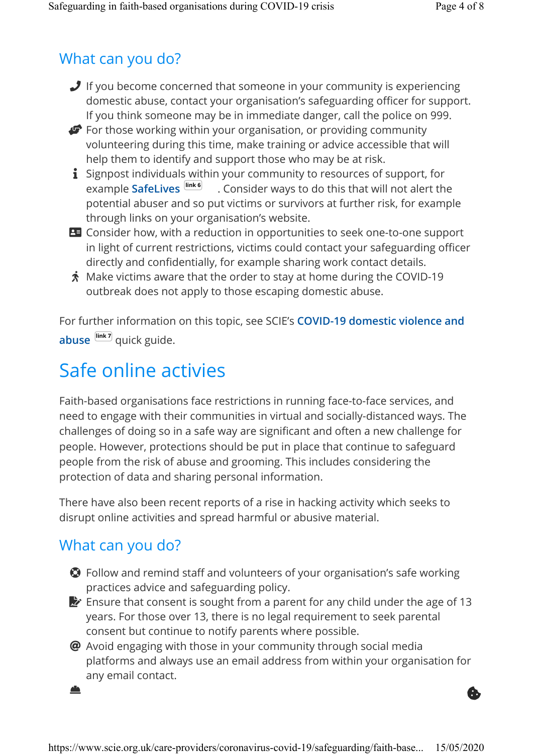#### What can you do?

- **J** If you become concerned that someone in your community is experiencing domestic abuse, contact your organisation's safeguarding officer for support. If you think someone may be in immediate danger, call the police on 999.
- For those working within your organisation, or providing community volunteering during this time, make training or advice accessible that will help them to identify and support those who may be at risk.
- $\mathbf i$  Signpost individuals within your community to resources of support, for example SafeLives  $\frac{|\text{link 6}|}{|\text{link 6}|}$  . Consider ways to do this that will not alert the potential abuser and so put victims or survivors at further risk, for example through links on your organisation's website.
- **B** Consider how, with a reduction in opportunities to seek one-to-one support in light of current restrictions, victims could contact your safeguarding officer directly and confidentially, for example sharing work contact details.
- $\boldsymbol{\dot{x}}$  Make victims aware that the order to stay at home during the COVID-19  $^{\text{}}$ outbreak does not apply to those escaping domestic abuse.

For further information on this topic, see SCIE's COVID-19 domestic violence and abuse link7 quick guide.

### Safe online activies

Faith-based organisations face restrictions in running face-to-face services, and need to engage with their communities in virtual and socially-distanced ways. The challenges of doing so in a safe way are significant and often a new challenge for people. However, protections should be put in place that continue to safeguard people from the risk of abuse and grooming. This includes considering the protection of data and sharing personal information.

There have also been recent reports of a rise in hacking activity which seeks to disrupt online activities and spread harmful or abusive material.

#### What can you do?

- **O** Follow and remind staff and volunteers of your organisation's safe working practices advice and safeguarding policy.
- **Ensure that consent is sought from a parent for any child under the age of 13** years. For those over 13, there is no legal requirement to seek parental consent but continue to notify parents where possible.
- $\bm{\varnothing}$  Avoid engaging with those in your community through social media platforms and always use an email address from within your organisation for any email contact.

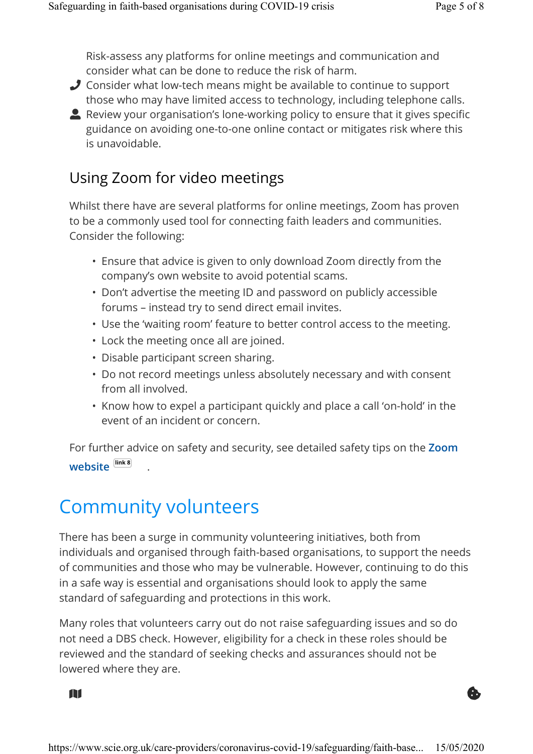Risk-assess any platforms for online meetings and communication and consider what can be done to reduce the risk of harm.

- Consider what low-tech means might be available to continue to support those who may have limited access to technology, including telephone calls.
- Review your organisation's lone-working policy to ensure that it gives specific guidance on avoiding one-to-one online contact or mitigates risk where this is unavoidable.

#### Using Zoom for video meetings

Whilst there have are several platforms for online meetings, Zoom has proven to be a commonly used tool for connecting faith leaders and communities. Consider the following:

- Ensure that advice is given to only download Zoom directly from the company's own website to avoid potential scams.
- Don't advertise the meeting ID and password on publicly accessible forums – instead try to send direct email invites.
- Use the 'waiting room' feature to better control access to the meeting.
- Lock the meeting once all are joined.
- Disable participant screen sharing.
- Do not record meetings unless absolutely necessary and with consent from all involved.
- Know how to expel a participant quickly and place a call 'on-hold' in the event of an incident or concern.

For further advice on safety and security, see detailed safety tips on the Zoom website link 8 .

### Community volunteers

There has been a surge in community volunteering initiatives, both from individuals and organised through faith-based organisations, to support the needs of communities and those who may be vulnerable. However, continuing to do this in a safe way is essential and organisations should look to apply the same standard of safeguarding and protections in this work.

Many roles that volunteers carry out do not raise safeguarding issues and so do not need a DBS check. However, eligibility for a check in these roles should be reviewed and the standard of seeking checks and assurances should not be lowered where they are.

 $\mathbf{a}$  and  $\mathbf{b}$  and  $\mathbf{b}$  and  $\mathbf{b}$  and  $\mathbf{b}$  and  $\mathbf{b}$  and  $\mathbf{b}$  and  $\mathbf{b}$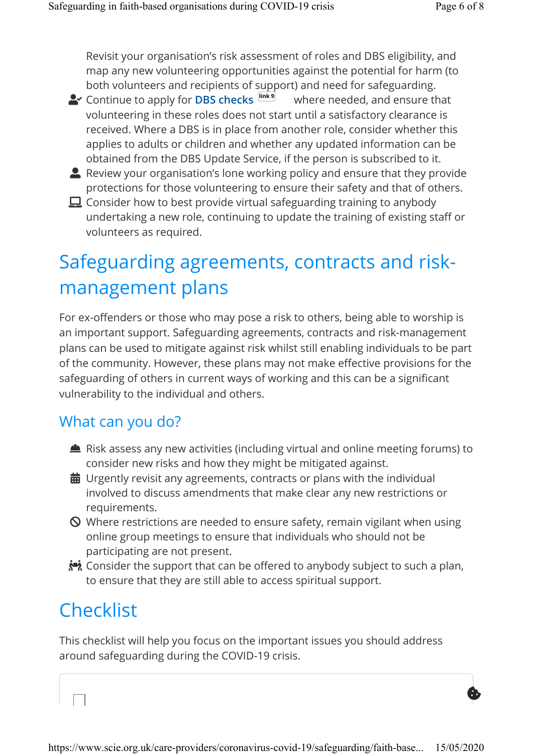\$

Revisit your organisation's risk assessment of roles and DBS eligibility, and map any new volunteering opportunities against the potential for harm (to both volunteers and recipients of support) and need for safeguarding.

- $\blacktriangle\!\!$  Continue to apply for **DBS checks**  $\text{link}$ <sup>9</sup> where needed, and ensure that volunteering in these roles does not start until a satisfactory clearance is received. Where a DBS is in place from another role, consider whether this applies to adults or children and whether any updated information can be obtained from the DBS Update Service, if the person is subscribed to it.
- **A** Review your organisation's lone working policy and ensure that they provide protections for those volunteering to ensure their safety and that of others.
- $\Box$  Consider how to best provide virtual safeguarding training to anybody undertaking a new role, continuing to update the training of existing staff or volunteers as required.

### Safeguarding agreements, contracts and riskmanagement plans

For ex-offenders or those who may pose a risk to others, being able to worship is an important support. Safeguarding agreements, contracts and risk-management plans can be used to mitigate against risk whilst still enabling individuals to be part of the community. However, these plans may not make effective provisions for the safeguarding of others in current ways of working and this can be a significant vulnerability to the individual and others.

#### What can you do?

- Risk assess any new activities (including virtual and online meeting forums) to consider new risks and how they might be mitigated against.
- $\bf \ddot{\otimes}$  Urgently revisit any agreements, contracts or plans with the individual involved to discuss amendments that make clear any new restrictions or requirements.
- $\bigcirc$  Where restrictions are needed to ensure safety, remain vigilant when using online group meetings to ensure that individuals who should not be participating are not present.
- Consider the support that can be offered to anybody subject to such a plan, to ensure that they are still able to access spiritual support.

### **Checklist**

This checklist will help you focus on the important issues you should address around safeguarding during the COVID-19 crisis.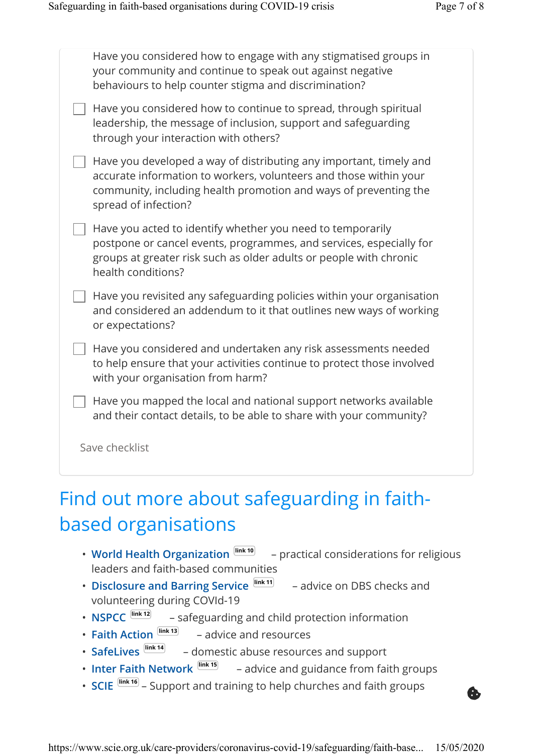| Have you considered how to engage with any stigmatised groups in<br>your community and continue to speak out against negative<br>behaviours to help counter stigma and discrimination?                                              |
|-------------------------------------------------------------------------------------------------------------------------------------------------------------------------------------------------------------------------------------|
| Have you considered how to continue to spread, through spiritual<br>leadership, the message of inclusion, support and safeguarding<br>through your interaction with others?                                                         |
| Have you developed a way of distributing any important, timely and<br>accurate information to workers, volunteers and those within your<br>community, including health promotion and ways of preventing the<br>spread of infection? |
| Have you acted to identify whether you need to temporarily<br>postpone or cancel events, programmes, and services, especially for<br>groups at greater risk such as older adults or people with chronic<br>health conditions?       |
| Have you revisited any safeguarding policies within your organisation<br>and considered an addendum to it that outlines new ways of working<br>or expectations?                                                                     |
| Have you considered and undertaken any risk assessments needed<br>to help ensure that your activities continue to protect those involved<br>with your organisation from harm?                                                       |
| Have you mapped the local and national support networks available<br>and their contact details, to be able to share with your community?                                                                                            |
| Save checklist                                                                                                                                                                                                                      |

### Find out more about safeguarding in faithbased organisations

- World Health Organization  $lim_{k \to 0}$  practical considerations for religious leaders and faith-based communities
- Disclosure and Barring Service  $\frac{\text{link 11}}{2}$  advice on DBS checks and volunteering during COVId-19
- NSPCC  $lim_{n \to \infty}$  safeguarding and child protection information
- Faith Action  $\frac{\left| \text{link 13} \right|}{\left| \text{rank 13} \right|}$  advice and resources
- SafeLives  $\frac{$  link 14 domestic abuse resources and support
- Inter Faith Network  $\frac{^{\text{link } 15}}{^{\text{link } 15}}$  advice and guidance from faith groups
- SCIE  $\frac{line\text{16}}{2}$  Support and training to help churches and faith groups

https://www.scie.org.uk/care-providers/coronavirus-covid-19/safeguarding/faith-base... 15/05/2020